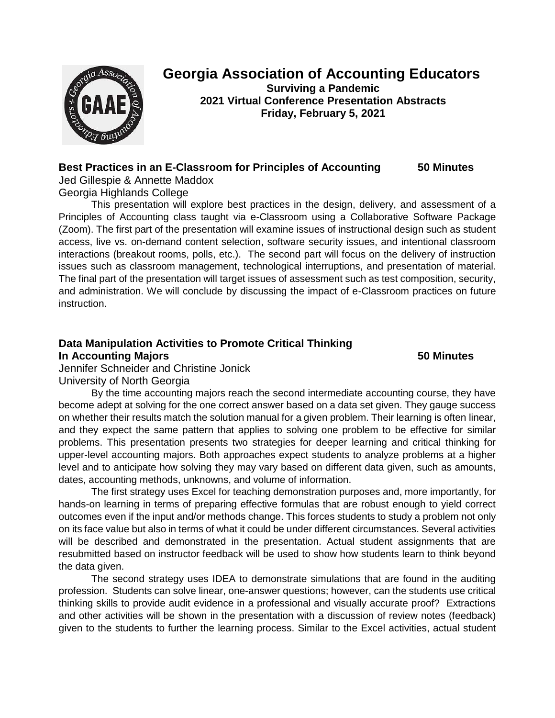

# **Georgia Association of Accounting Educators**

**Surviving a Pandemic 2021 Virtual Conference Presentation Abstracts Friday, February 5, 2021**

## **Best Practices in an E-Classroom for Principles of Accounting 50 Minutes**

Jed Gillespie & Annette Maddox

Georgia Highlands College

This presentation will explore best practices in the design, delivery, and assessment of a Principles of Accounting class taught via e-Classroom using a Collaborative Software Package (Zoom). The first part of the presentation will examine issues of instructional design such as student access, live vs. on-demand content selection, software security issues, and intentional classroom interactions (breakout rooms, polls, etc.). The second part will focus on the delivery of instruction issues such as classroom management, technological interruptions, and presentation of material. The final part of the presentation will target issues of assessment such as test composition, security, and administration. We will conclude by discussing the impact of e-Classroom practices on future instruction.

## **Data Manipulation Activities to Promote Critical Thinking**

**In Accounting Majors 50 Minutes**

Jennifer Schneider and Christine Jonick University of North Georgia

By the time accounting majors reach the second intermediate accounting course, they have become adept at solving for the one correct answer based on a data set given. They gauge success on whether their results match the solution manual for a given problem. Their learning is often linear, and they expect the same pattern that applies to solving one problem to be effective for similar problems. This presentation presents two strategies for deeper learning and critical thinking for upper-level accounting majors. Both approaches expect students to analyze problems at a higher level and to anticipate how solving they may vary based on different data given, such as amounts, dates, accounting methods, unknowns, and volume of information.

The first strategy uses Excel for teaching demonstration purposes and, more importantly, for hands-on learning in terms of preparing effective formulas that are robust enough to yield correct outcomes even if the input and/or methods change. This forces students to study a problem not only on its face value but also in terms of what it could be under different circumstances. Several activities will be described and demonstrated in the presentation. Actual student assignments that are resubmitted based on instructor feedback will be used to show how students learn to think beyond the data given.

The second strategy uses IDEA to demonstrate simulations that are found in the auditing profession. Students can solve linear, one-answer questions; however, can the students use critical thinking skills to provide audit evidence in a professional and visually accurate proof? Extractions and other activities will be shown in the presentation with a discussion of review notes (feedback) given to the students to further the learning process. Similar to the Excel activities, actual student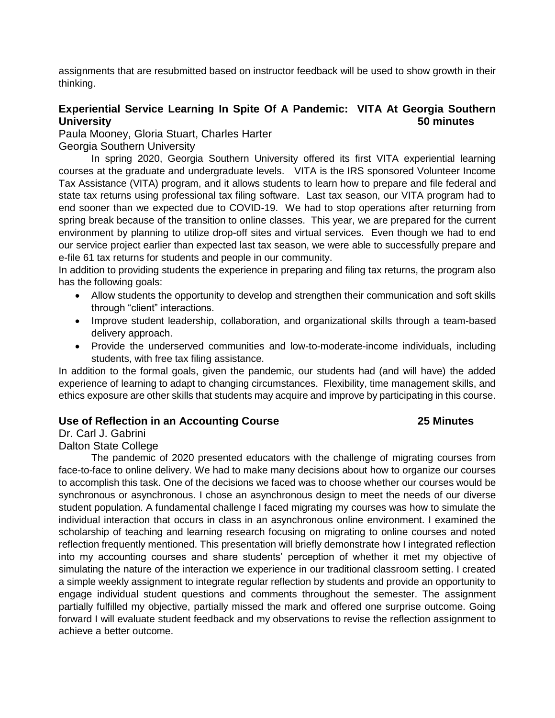assignments that are resubmitted based on instructor feedback will be used to show growth in their thinking.

## **Experiential Service Learning In Spite Of A Pandemic: VITA At Georgia Southern University 50 minutes**

Paula Mooney, Gloria Stuart, Charles Harter

Georgia Southern University

In spring 2020, Georgia Southern University offered its first VITA experiential learning courses at the graduate and undergraduate levels. VITA is the IRS sponsored Volunteer Income Tax Assistance (VITA) program, and it allows students to learn how to prepare and file federal and state tax returns using professional tax filing software. Last tax season, our VITA program had to end sooner than we expected due to COVID-19. We had to stop operations after returning from spring break because of the transition to online classes. This year, we are prepared for the current environment by planning to utilize drop-off sites and virtual services. Even though we had to end our service project earlier than expected last tax season, we were able to successfully prepare and e-file 61 tax returns for students and people in our community.

In addition to providing students the experience in preparing and filing tax returns, the program also has the following goals:

- Allow students the opportunity to develop and strengthen their communication and soft skills through "client" interactions.
- Improve student leadership, collaboration, and organizational skills through a team-based delivery approach.
- Provide the underserved communities and low-to-moderate-income individuals, including students, with free tax filing assistance.

In addition to the formal goals, given the pandemic, our students had (and will have) the added experience of learning to adapt to changing circumstances. Flexibility, time management skills, and ethics exposure are other skills that students may acquire and improve by participating in this course.

## **Use of Reflection in an Accounting Course 25 Minutes**

# Dr. Carl J. Gabrini

Dalton State College

The pandemic of 2020 presented educators with the challenge of migrating courses from face-to-face to online delivery. We had to make many decisions about how to organize our courses to accomplish this task. One of the decisions we faced was to choose whether our courses would be synchronous or asynchronous. I chose an asynchronous design to meet the needs of our diverse student population. A fundamental challenge I faced migrating my courses was how to simulate the individual interaction that occurs in class in an asynchronous online environment. I examined the scholarship of teaching and learning research focusing on migrating to online courses and noted reflection frequently mentioned. This presentation will briefly demonstrate how I integrated reflection into my accounting courses and share students' perception of whether it met my objective of simulating the nature of the interaction we experience in our traditional classroom setting. I created a simple weekly assignment to integrate regular reflection by students and provide an opportunity to engage individual student questions and comments throughout the semester. The assignment partially fulfilled my objective, partially missed the mark and offered one surprise outcome. Going forward I will evaluate student feedback and my observations to revise the reflection assignment to achieve a better outcome.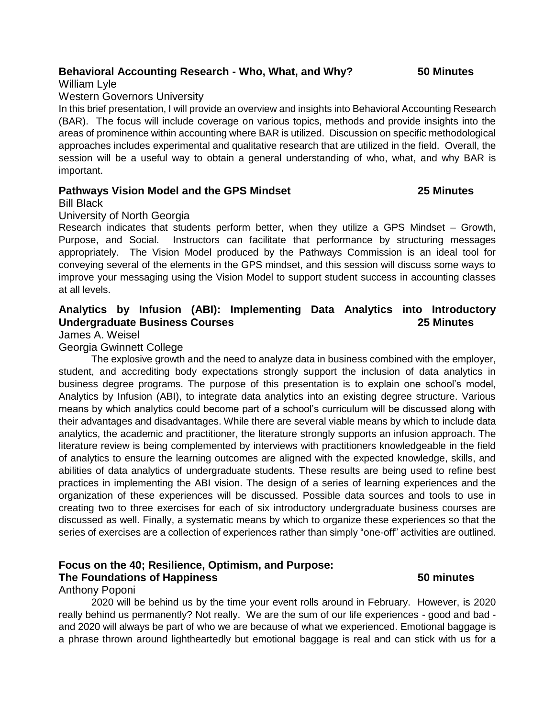### **Behavioral Accounting Research - Who, What, and Why? 50 Minutes**

William Lyle

### Western Governors University

In this brief presentation, I will provide an overview and insights into Behavioral Accounting Research (BAR). The focus will include coverage on various topics, methods and provide insights into the areas of prominence within accounting where BAR is utilized. Discussion on specific methodological approaches includes experimental and qualitative research that are utilized in the field. Overall, the session will be a useful way to obtain a general understanding of who, what, and why BAR is important.

### **Pathways Vision Model and the GPS Mindset 25 Minutes**

Bill Black

### University of North Georgia

Research indicates that students perform better, when they utilize a GPS Mindset – Growth, Purpose, and Social. Instructors can facilitate that performance by structuring messages appropriately. The Vision Model produced by the Pathways Commission is an ideal tool for conveying several of the elements in the GPS mindset, and this session will discuss some ways to improve your messaging using the Vision Model to support student success in accounting classes at all levels.

## **Analytics by Infusion (ABI): Implementing Data Analytics into Introductory Undergraduate Business Courses 25 Minutes**

James A. Weisel

### Georgia Gwinnett College

The explosive growth and the need to analyze data in business combined with the employer, student, and accrediting body expectations strongly support the inclusion of data analytics in business degree programs. The purpose of this presentation is to explain one school's model, Analytics by Infusion (ABI), to integrate data analytics into an existing degree structure. Various means by which analytics could become part of a school's curriculum will be discussed along with their advantages and disadvantages. While there are several viable means by which to include data analytics, the academic and practitioner, the literature strongly supports an infusion approach. The literature review is being complemented by interviews with practitioners knowledgeable in the field of analytics to ensure the learning outcomes are aligned with the expected knowledge, skills, and abilities of data analytics of undergraduate students. These results are being used to refine best practices in implementing the ABI vision. The design of a series of learning experiences and the organization of these experiences will be discussed. Possible data sources and tools to use in creating two to three exercises for each of six introductory undergraduate business courses are discussed as well. Finally, a systematic means by which to organize these experiences so that the series of exercises are a collection of experiences rather than simply "one-off" activities are outlined.

## **Focus on the 40; Resilience, Optimism, and Purpose: The Foundations of Happiness 50 minutes**

### Anthony Poponi

2020 will be behind us by the time your event rolls around in February. However, is 2020 really behind us permanently? Not really. We are the sum of our life experiences - good and bad and 2020 will always be part of who we are because of what we experienced. Emotional baggage is a phrase thrown around lightheartedly but emotional baggage is real and can stick with us for a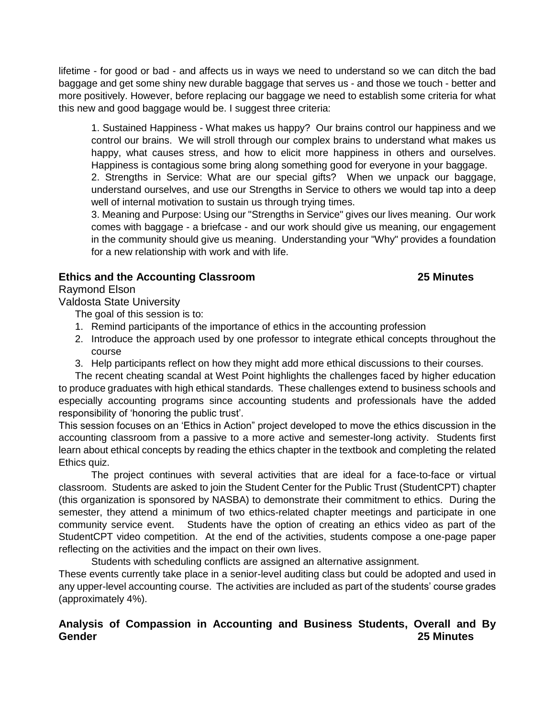lifetime - for good or bad - and affects us in ways we need to understand so we can ditch the bad baggage and get some shiny new durable baggage that serves us - and those we touch - better and more positively. However, before replacing our baggage we need to establish some criteria for what this new and good baggage would be. I suggest three criteria:

1. Sustained Happiness - What makes us happy? Our brains control our happiness and we control our brains. We will stroll through our complex brains to understand what makes us happy, what causes stress, and how to elicit more happiness in others and ourselves. Happiness is contagious some bring along something good for everyone in your baggage.

2. Strengths in Service: What are our special gifts? When we unpack our baggage, understand ourselves, and use our Strengths in Service to others we would tap into a deep well of internal motivation to sustain us through trying times.

3. Meaning and Purpose: Using our "Strengths in Service" gives our lives meaning. Our work comes with baggage - a briefcase - and our work should give us meaning, our engagement in the community should give us meaning. Understanding your "Why" provides a foundation for a new relationship with work and with life.

## **Ethics and the Accounting Classroom 25 Minutes**

Raymond Elson

Valdosta State University

The goal of this session is to:

- 1. Remind participants of the importance of ethics in the accounting profession
- 2. Introduce the approach used by one professor to integrate ethical concepts throughout the course
- 3. Help participants reflect on how they might add more ethical discussions to their courses.

The recent cheating scandal at West Point highlights the challenges faced by higher education to produce graduates with high ethical standards. These challenges extend to business schools and especially accounting programs since accounting students and professionals have the added responsibility of 'honoring the public trust'.

This session focuses on an 'Ethics in Action" project developed to move the ethics discussion in the accounting classroom from a passive to a more active and semester-long activity. Students first learn about ethical concepts by reading the ethics chapter in the textbook and completing the related Ethics quiz.

The project continues with several activities that are ideal for a face-to-face or virtual classroom. Students are asked to join the Student Center for the Public Trust (StudentCPT) chapter (this organization is sponsored by NASBA) to demonstrate their commitment to ethics. During the semester, they attend a minimum of two ethics-related chapter meetings and participate in one community service event. Students have the option of creating an ethics video as part of the StudentCPT video competition. At the end of the activities, students compose a one-page paper reflecting on the activities and the impact on their own lives.

Students with scheduling conflicts are assigned an alternative assignment.

These events currently take place in a senior-level auditing class but could be adopted and used in any upper-level accounting course. The activities are included as part of the students' course grades (approximately 4%).

## **Analysis of Compassion in Accounting and Business Students, Overall and By Gender 25 Minutes**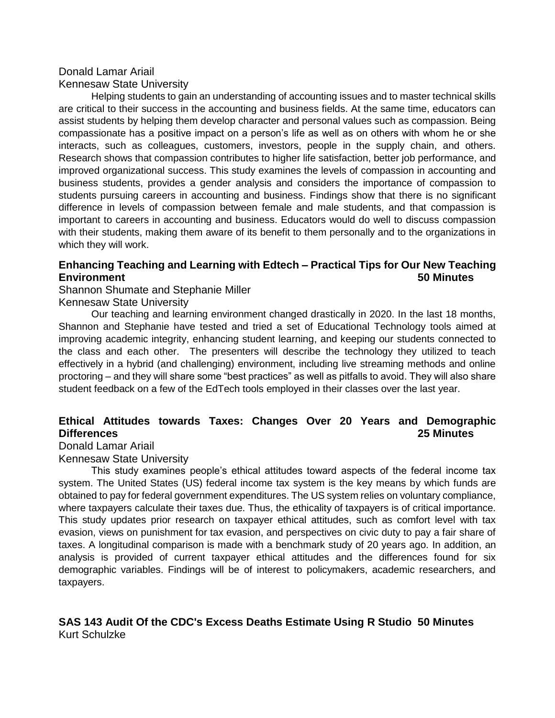### Donald Lamar Ariail Kennesaw State University

Helping students to gain an understanding of accounting issues and to master technical skills are critical to their success in the accounting and business fields. At the same time, educators can assist students by helping them develop character and personal values such as compassion. Being compassionate has a positive impact on a person's life as well as on others with whom he or she interacts, such as colleagues, customers, investors, people in the supply chain, and others. Research shows that compassion contributes to higher life satisfaction, better job performance, and improved organizational success. This study examines the levels of compassion in accounting and business students, provides a gender analysis and considers the importance of compassion to students pursuing careers in accounting and business. Findings show that there is no significant difference in levels of compassion between female and male students, and that compassion is important to careers in accounting and business. Educators would do well to discuss compassion with their students, making them aware of its benefit to them personally and to the organizations in which they will work.

## **Enhancing Teaching and Learning with Edtech – Practical Tips for Our New Teaching Environment 50 Minutes**

Shannon Shumate and Stephanie Miller Kennesaw State University

Our teaching and learning environment changed drastically in 2020. In the last 18 months, Shannon and Stephanie have tested and tried a set of Educational Technology tools aimed at improving academic integrity, enhancing student learning, and keeping our students connected to the class and each other. The presenters will describe the technology they utilized to teach effectively in a hybrid (and challenging) environment, including live streaming methods and online proctoring – and they will share some "best practices" as well as pitfalls to avoid. They will also share student feedback on a few of the EdTech tools employed in their classes over the last year.

## **Ethical Attitudes towards Taxes: Changes Over 20 Years and Demographic Differences 25 Minutes**

Donald Lamar Ariail

Kennesaw State University

This study examines people's ethical attitudes toward aspects of the federal income tax system. The United States (US) federal income tax system is the key means by which funds are obtained to pay for federal government expenditures. The US system relies on voluntary compliance, where taxpayers calculate their taxes due. Thus, the ethicality of taxpayers is of critical importance. This study updates prior research on taxpayer ethical attitudes, such as comfort level with tax evasion, views on punishment for tax evasion, and perspectives on civic duty to pay a fair share of taxes. A longitudinal comparison is made with a benchmark study of 20 years ago. In addition, an analysis is provided of current taxpayer ethical attitudes and the differences found for six demographic variables. Findings will be of interest to policymakers, academic researchers, and taxpayers.

## **SAS 143 Audit Of the CDC's Excess Deaths Estimate Using R Studio 50 Minutes** Kurt Schulzke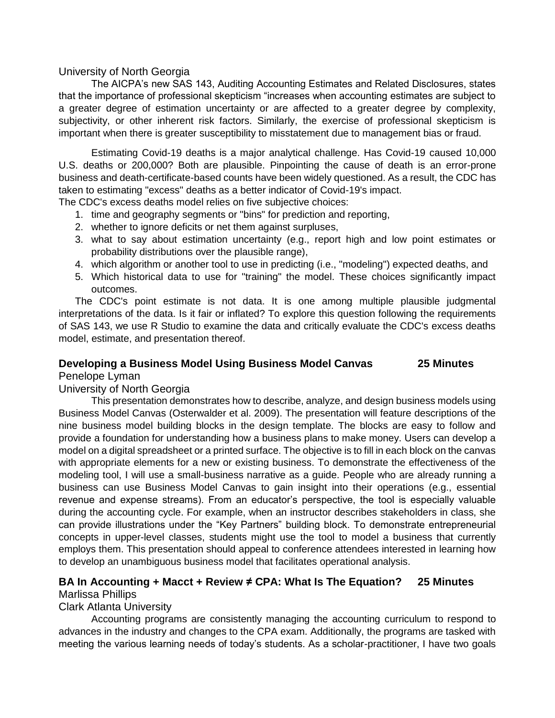### University of North Georgia

The AICPA's new SAS 143, Auditing Accounting Estimates and Related Disclosures, states that the importance of professional skepticism "increases when accounting estimates are subject to a greater degree of estimation uncertainty or are affected to a greater degree by complexity, subjectivity, or other inherent risk factors. Similarly, the exercise of professional skepticism is important when there is greater susceptibility to misstatement due to management bias or fraud.

Estimating Covid-19 deaths is a major analytical challenge. Has Covid-19 caused 10,000 U.S. deaths or 200,000? Both are plausible. Pinpointing the cause of death is an error-prone business and death-certificate-based counts have been widely questioned. As a result, the CDC has taken to estimating "excess" deaths as a better indicator of Covid-19's impact.

The CDC's excess deaths model relies on five subjective choices:

- 1. time and geography segments or "bins" for prediction and reporting,
- 2. whether to ignore deficits or net them against surpluses,
- 3. what to say about estimation uncertainty (e.g., report high and low point estimates or probability distributions over the plausible range),
- 4. which algorithm or another tool to use in predicting (i.e., "modeling") expected deaths, and
- 5. Which historical data to use for "training" the model. These choices significantly impact outcomes.

The CDC's point estimate is not data. It is one among multiple plausible judgmental interpretations of the data. Is it fair or inflated? To explore this question following the requirements of SAS 143, we use R Studio to examine the data and critically evaluate the CDC's excess deaths model, estimate, and presentation thereof.

### **Developing a Business Model Using Business Model Canvas 25 Minutes**

### Penelope Lyman

### University of North Georgia

This presentation demonstrates how to describe, analyze, and design business models using Business Model Canvas (Osterwalder et al. 2009). The presentation will feature descriptions of the nine business model building blocks in the design template. The blocks are easy to follow and provide a foundation for understanding how a business plans to make money. Users can develop a model on a digital spreadsheet or a printed surface. The objective is to fill in each block on the canvas with appropriate elements for a new or existing business. To demonstrate the effectiveness of the modeling tool, I will use a small-business narrative as a guide. People who are already running a business can use Business Model Canvas to gain insight into their operations (e.g., essential revenue and expense streams). From an educator's perspective, the tool is especially valuable during the accounting cycle. For example, when an instructor describes stakeholders in class, she can provide illustrations under the "Key Partners" building block. To demonstrate entrepreneurial concepts in upper-level classes, students might use the tool to model a business that currently employs them. This presentation should appeal to conference attendees interested in learning how to develop an unambiguous business model that facilitates operational analysis.

### **BA In Accounting + Macct + Review ≠ CPA: What Is The Equation? 25 Minutes** Marlissa Phillips

## Clark Atlanta University

Accounting programs are consistently managing the accounting curriculum to respond to advances in the industry and changes to the CPA exam. Additionally, the programs are tasked with meeting the various learning needs of today's students. As a scholar-practitioner, I have two goals